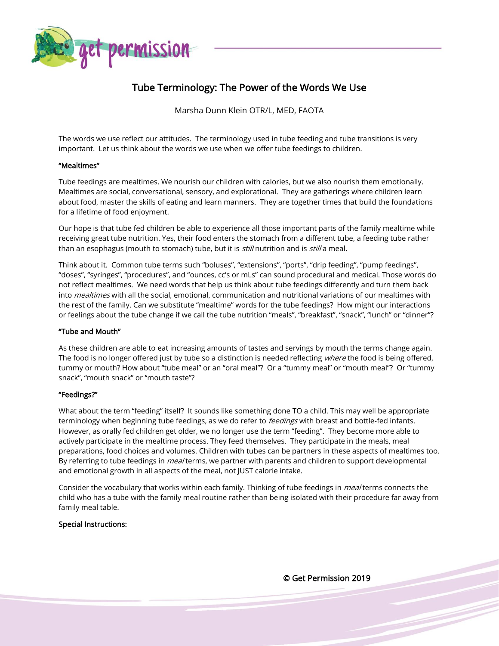

# Tube Terminology: The Power of the Words We Use

Marsha Dunn Klein OTR/L, MED, FAOTA

The words we use reflect our attitudes. The terminology used in tube feeding and tube transitions is very important. Let us think about the words we use when we offer tube feedings to children.

### "Mealtimes"

Tube feedings are mealtimes. We nourish our children with calories, but we also nourish them emotionally. Mealtimes are social, conversational, sensory, and explorational. They are gatherings where children learn about food, master the skills of eating and learn manners. They are together times that build the foundations for a lifetime of food enjoyment.

Our hope is that tube fed children be able to experience all those important parts of the family mealtime while receiving great tube nutrition. Yes, their food enters the stomach from a different tube, a feeding tube rather than an esophagus (mouth to stomach) tube, but it is *still* nutrition and is *still* a meal.

Think about it. Common tube terms such "boluses", "extensions", "ports", "drip feeding", "pump feedings", "doses", "syringes", "procedures", and "ounces, cc's or mLs" can sound procedural and medical. Those words do not reflect mealtimes. We need words that help us think about tube feedings differently and turn them back into *mealtimes* with all the social, emotional, communication and nutritional variations of our mealtimes with the rest of the family. Can we substitute "mealtime" words for the tube feedings? How might our interactions or feelings about the tube change if we call the tube nutrition "meals", "breakfast", "snack", "lunch" or "dinner"?

### "Tube and Mouth"

As these children are able to eat increasing amounts of tastes and servings by mouth the terms change again. The food is no longer offered just by tube so a distinction is needed reflecting where the food is being offered, tummy or mouth? How about "tube meal" or an "oral meal"? Or a "tummy meal" or "mouth meal"? Or "tummy snack", "mouth snack" or "mouth taste"?

### "Feedings?"

What about the term "feeding" itself? It sounds like something done TO a child. This may well be appropriate terminology when beginning tube feedings, as we do refer to feedings with breast and bottle-fed infants. However, as orally fed children get older, we no longer use the term "feeding". They become more able to actively participate in the mealtime process. They feed themselves. They participate in the meals, meal preparations, food choices and volumes. Children with tubes can be partners in these aspects of mealtimes too. By referring to tube feedings in *meal* terms, we partner with parents and children to support developmental and emotional growth in all aspects of the meal, not JUST calorie intake.

Consider the vocabulary that works within each family. Thinking of tube feedings in *meal* terms connects the child who has a tube with the family meal routine rather than being isolated with their procedure far away from family meal table.

## Special Instructions:

© Get Permission 2019